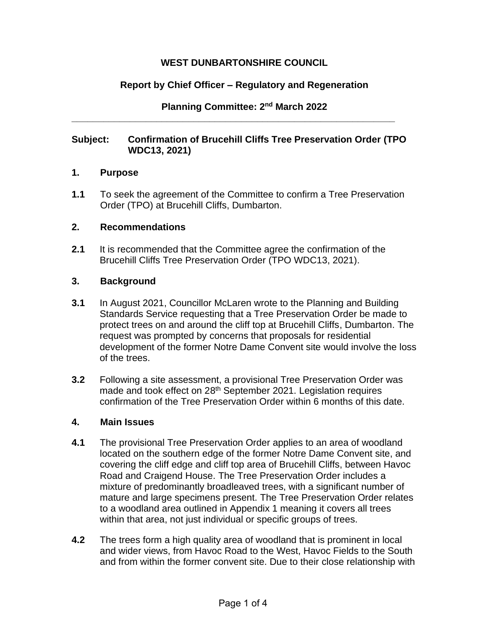## **WEST DUNBARTONSHIRE COUNCIL**

# **Report by Chief Officer – Regulatory and Regeneration**

**Planning Committee: 2 nd March 2022**

## **Subject: Confirmation of Brucehill Cliffs Tree Preservation Order (TPO WDC13, 2021)**

**\_\_\_\_\_\_\_\_\_\_\_\_\_\_\_\_\_\_\_\_\_\_\_\_\_\_\_\_\_\_\_\_\_\_\_\_\_\_\_\_\_\_\_\_\_\_\_\_\_\_\_\_\_\_\_\_\_\_\_\_\_**

### **1. Purpose**

**1.1** To seek the agreement of the Committee to confirm a Tree Preservation Order (TPO) at Brucehill Cliffs, Dumbarton.

### **2. Recommendations**

**2.1** It is recommended that the Committee agree the confirmation of the Brucehill Cliffs Tree Preservation Order (TPO WDC13, 2021).

### **3. Background**

- **3.1** In August 2021, Councillor McLaren wrote to the Planning and Building Standards Service requesting that a Tree Preservation Order be made to protect trees on and around the cliff top at Brucehill Cliffs, Dumbarton. The request was prompted by concerns that proposals for residential development of the former Notre Dame Convent site would involve the loss of the trees.
- **3.2** Following a site assessment, a provisional Tree Preservation Order was made and took effect on 28<sup>th</sup> September 2021. Legislation requires confirmation of the Tree Preservation Order within 6 months of this date.

#### **4. Main Issues**

- **4.1** The provisional Tree Preservation Order applies to an area of woodland located on the southern edge of the former Notre Dame Convent site, and covering the cliff edge and cliff top area of Brucehill Cliffs, between Havoc Road and Craigend House. The Tree Preservation Order includes a mixture of predominantly broadleaved trees, with a significant number of mature and large specimens present. The Tree Preservation Order relates to a woodland area outlined in Appendix 1 meaning it covers all trees within that area, not just individual or specific groups of trees.
- **4.2** The trees form a high quality area of woodland that is prominent in local and wider views, from Havoc Road to the West, Havoc Fields to the South and from within the former convent site. Due to their close relationship with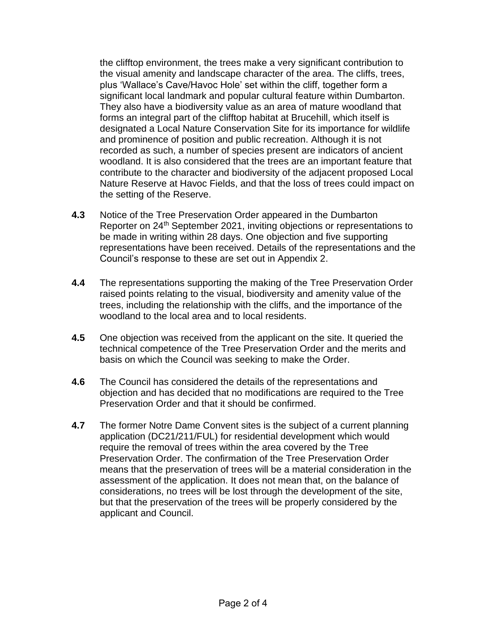the clifftop environment, the trees make a very significant contribution to the visual amenity and landscape character of the area. The cliffs, trees, plus 'Wallace's Cave/Havoc Hole' set within the cliff, together form a significant local landmark and popular cultural feature within Dumbarton. They also have a biodiversity value as an area of mature woodland that forms an integral part of the clifftop habitat at Brucehill, which itself is designated a Local Nature Conservation Site for its importance for wildlife and prominence of position and public recreation. Although it is not recorded as such, a number of species present are indicators of ancient woodland. It is also considered that the trees are an important feature that contribute to the character and biodiversity of the adjacent proposed Local Nature Reserve at Havoc Fields, and that the loss of trees could impact on the setting of the Reserve.

- **4.3** Notice of the Tree Preservation Order appeared in the Dumbarton Reporter on 24th September 2021, inviting objections or representations to be made in writing within 28 days. One objection and five supporting representations have been received. Details of the representations and the Council's response to these are set out in Appendix 2.
- **4.4** The representations supporting the making of the Tree Preservation Order raised points relating to the visual, biodiversity and amenity value of the trees, including the relationship with the cliffs, and the importance of the woodland to the local area and to local residents.
- **4.5** One objection was received from the applicant on the site. It queried the technical competence of the Tree Preservation Order and the merits and basis on which the Council was seeking to make the Order.
- **4.6** The Council has considered the details of the representations and objection and has decided that no modifications are required to the Tree Preservation Order and that it should be confirmed.
- **4.7** The former Notre Dame Convent sites is the subject of a current planning application (DC21/211/FUL) for residential development which would require the removal of trees within the area covered by the Tree Preservation Order. The confirmation of the Tree Preservation Order means that the preservation of trees will be a material consideration in the assessment of the application. It does not mean that, on the balance of considerations, no trees will be lost through the development of the site, but that the preservation of the trees will be properly considered by the applicant and Council.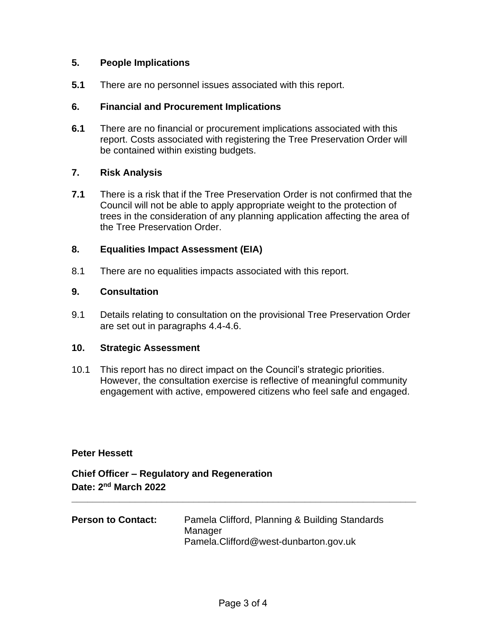## **5. People Implications**

**5.1** There are no personnel issues associated with this report.

### **6. Financial and Procurement Implications**

**6.1** There are no financial or procurement implications associated with this report. Costs associated with registering the Tree Preservation Order will be contained within existing budgets.

## **7. Risk Analysis**

**7.1** There is a risk that if the Tree Preservation Order is not confirmed that the Council will not be able to apply appropriate weight to the protection of trees in the consideration of any planning application affecting the area of the Tree Preservation Order.

### **8. Equalities Impact Assessment (EIA)**

8.1 There are no equalities impacts associated with this report.

### **9. Consultation**

9.1 Details relating to consultation on the provisional Tree Preservation Order are set out in paragraphs 4.4-4.6.

#### **10. Strategic Assessment**

10.1 This report has no direct impact on the Council's strategic priorities. However, the consultation exercise is reflective of meaningful community engagement with active, empowered citizens who feel safe and engaged.

#### **Peter Hessett**

**Chief Officer – Regulatory and Regeneration Date: 2 nd March 2022**

| <b>Person to Contact:</b> | Pamela Clifford, Planning & Building Standards |
|---------------------------|------------------------------------------------|
|                           | Manager                                        |
|                           | Pamela.Clifford@west-dunbarton.gov.uk          |

**\_\_\_\_\_\_\_\_\_\_\_\_\_\_\_\_\_\_\_\_\_\_\_\_\_\_\_\_\_\_\_\_\_\_\_\_\_\_\_\_\_\_\_\_\_\_\_\_\_\_\_\_\_\_\_\_\_\_\_\_\_\_\_\_\_**